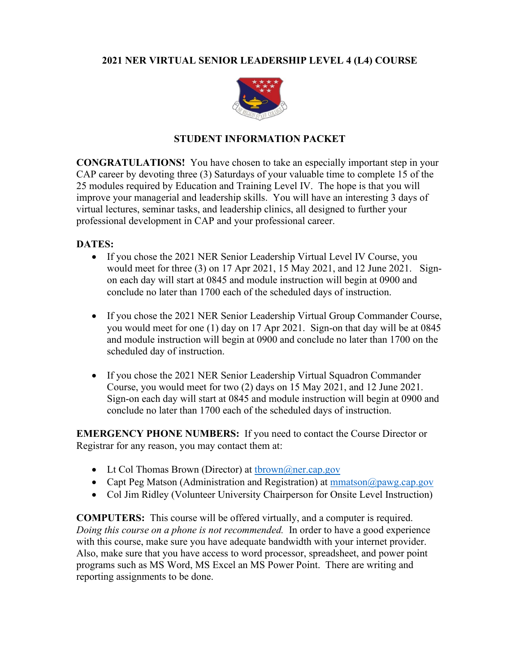## **2021 NER VIRTUAL SENIOR LEADERSHIP LEVEL 4 (L4) COURSE**



## **STUDENT INFORMATION PACKET**

**CONGRATULATIONS!** You have chosen to take an especially important step in your CAP career by devoting three (3) Saturdays of your valuable time to complete 15 of the 25 modules required by Education and Training Level IV. The hope is that you will improve your managerial and leadership skills. You will have an interesting 3 days of virtual lectures, seminar tasks, and leadership clinics, all designed to further your professional development in CAP and your professional career.

## **DATES:**

- If you chose the 2021 NER Senior Leadership Virtual Level IV Course, you would meet for three (3) on 17 Apr 2021, 15 May 2021, and 12 June 2021. Signon each day will start at 0845 and module instruction will begin at 0900 and conclude no later than 1700 each of the scheduled days of instruction.
- If you chose the 2021 NER Senior Leadership Virtual Group Commander Course, you would meet for one (1) day on 17 Apr 2021. Sign-on that day will be at 0845 and module instruction will begin at 0900 and conclude no later than 1700 on the scheduled day of instruction.
- If you chose the 2021 NER Senior Leadership Virtual Squadron Commander Course, you would meet for two (2) days on 15 May 2021, and 12 June 2021. Sign-on each day will start at 0845 and module instruction will begin at 0900 and conclude no later than 1700 each of the scheduled days of instruction.

**EMERGENCY PHONE NUMBERS:** If you need to contact the Course Director or Registrar for any reason, you may contact them at:

- Lt Col Thomas Brown (Director) at thrown  $\omega$ ner.cap.gov
- Capt Peg Matson (Administration and Registration) at mmatson @pawg.cap.gov
- Col Jim Ridley (Volunteer University Chairperson for Onsite Level Instruction)

**COMPUTERS:** This course will be offered virtually, and a computer is required. *Doing this course on a phone is not recommended.* In order to have a good experience with this course, make sure you have adequate bandwidth with your internet provider. Also, make sure that you have access to word processor, spreadsheet, and power point programs such as MS Word, MS Excel an MS Power Point. There are writing and reporting assignments to be done.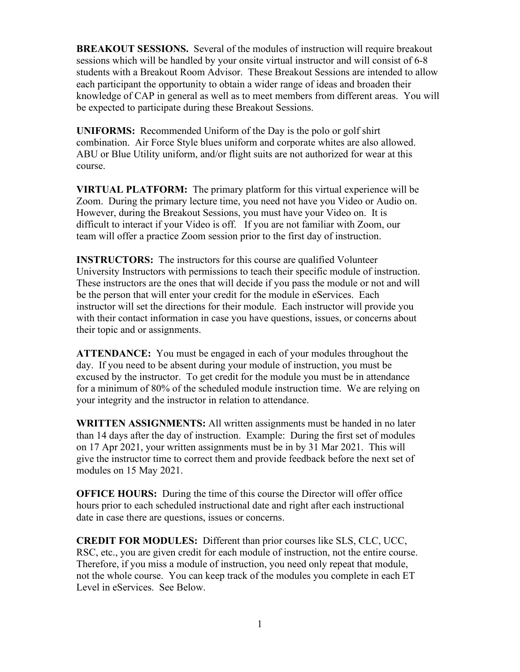**BREAKOUT SESSIONS.** Several of the modules of instruction will require breakout sessions which will be handled by your onsite virtual instructor and will consist of 6-8 students with a Breakout Room Advisor. These Breakout Sessions are intended to allow each participant the opportunity to obtain a wider range of ideas and broaden their knowledge of CAP in general as well as to meet members from different areas. You will be expected to participate during these Breakout Sessions.

**UNIFORMS:** Recommended Uniform of the Day is the polo or golf shirt combination. Air Force Style blues uniform and corporate whites are also allowed. ABU or Blue Utility uniform, and/or flight suits are not authorized for wear at this course.

**VIRTUAL PLATFORM:** The primary platform for this virtual experience will be Zoom. During the primary lecture time, you need not have you Video or Audio on. However, during the Breakout Sessions, you must have your Video on. It is difficult to interact if your Video is off. If you are not familiar with Zoom, our team will offer a practice Zoom session prior to the first day of instruction.

**INSTRUCTORS:** The instructors for this course are qualified Volunteer University Instructors with permissions to teach their specific module of instruction. These instructors are the ones that will decide if you pass the module or not and will be the person that will enter your credit for the module in eServices. Each instructor will set the directions for their module. Each instructor will provide you with their contact information in case you have questions, issues, or concerns about their topic and or assignments.

**ATTENDANCE:** You must be engaged in each of your modules throughout the day. If you need to be absent during your module of instruction, you must be excused by the instructor. To get credit for the module you must be in attendance for a minimum of 80% of the scheduled module instruction time. We are relying on your integrity and the instructor in relation to attendance.

**WRITTEN ASSIGNMENTS:** All written assignments must be handed in no later than 14 days after the day of instruction. Example: During the first set of modules on 17 Apr 2021, your written assignments must be in by 31 Mar 2021. This will give the instructor time to correct them and provide feedback before the next set of modules on 15 May 2021.

**OFFICE HOURS:** During the time of this course the Director will offer office hours prior to each scheduled instructional date and right after each instructional date in case there are questions, issues or concerns.

**CREDIT FOR MODULES:** Different than prior courses like SLS, CLC, UCC, RSC, etc., you are given credit for each module of instruction, not the entire course. Therefore, if you miss a module of instruction, you need only repeat that module, not the whole course. You can keep track of the modules you complete in each ET Level in eServices. See Below.